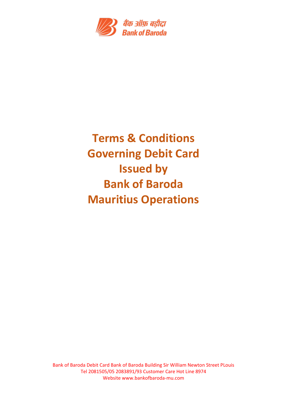

# **Terms & Conditions Governing Debit Card Issued by Bank of Baroda Mauritius Operations**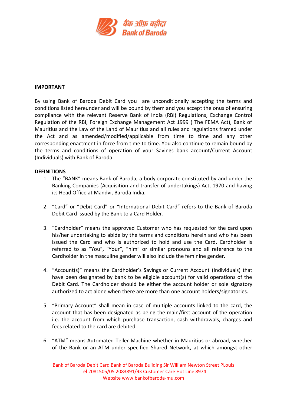

#### **IMPORTANT**

By using Bank of Baroda Debit Card you are unconditionally accepting the terms and conditions listed hereunder and will be bound by them and you accept the onus of ensuring compliance with the relevant Reserve Bank of India (RBI) Regulations, Exchange Control Regulation of the RBI, Foreign Exchange Management Act 1999 ( The FEMA Act), Bank of Mauritius and the Law of the Land of Mauritius and all rules and regulations framed under the Act and as amended/modified/applicable from time to time and any other corresponding enactment in force from time to time. You also continue to remain bound by the terms and conditions of operation of your Savings bank account/Current Account (Individuals) with Bank of Baroda.

#### **DEFINITIONS**

- 1. The "BANK" means Bank of Baroda, a body corporate constituted by and under the Banking Companies (Acquisition and transfer of undertakings) Act, 1970 and having its Head Office at Mandvi, Baroda India.
- 2. "Card" or "Debit Card" or "International Debit Card" refers to the Bank of Baroda Debit Card issued by the Bank to a Card Holder.
- 3. "Cardholder" means the approved Customer who has requested for the card upon his/her undertaking to abide by the terms and conditions herein and who has been issued the Card and who is authorized to hold and use the Card. Cardholder is referred to as "You", "Your", "him" or similar pronouns and all reference to the Cardholder in the masculine gender will also include the feminine gender.
- 4. "Account(s)" means the Cardholder's Savings or Current Account (Individuals) that have been designated by bank to be eligible account(s) for valid operations of the Debit Card. The Cardholder should be either the account holder or sole signatory authorized to act alone when there are more than one account holders/signatories.
- 5. "Primary Account" shall mean in case of multiple accounts linked to the card, the account that has been designated as being the main/first account of the operation i.e. the account from which purchase transaction, cash withdrawals, charges and fees related to the card are debited.
- 6. "ATM" means Automated Teller Machine whether in Mauritius or abroad, whether of the Bank or an ATM under specified Shared Network, at which amongst other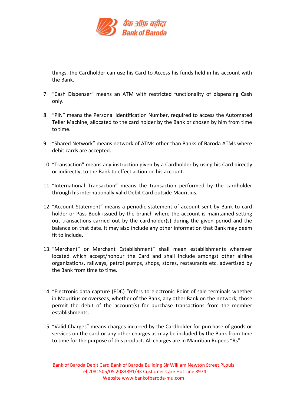

things, the Cardholder can use his Card to Access his funds held in his account with the Bank.

- 7. "Cash Dispenser" means an ATM with restricted functionality of dispensing Cash only.
- 8. "PIN" means the Personal Identification Number, required to access the Automated Teller Machine, allocated to the card holder by the Bank or chosen by him from time to time.
- 9. "Shared Network" means network of ATMs other than Banks of Baroda ATMs where debit cards are accepted.
- 10. "Transaction" means any instruction given by a Cardholder by using his Card directly or indirectly, to the Bank to effect action on his account.
- 11. "International Transaction" means the transaction performed by the cardholder through his internationally valid Debit Card outside Mauritius.
- 12. "Account Statement" means a periodic statement of account sent by Bank to card holder or Pass Book issued by the branch where the account is maintained setting out transactions carried out by the cardholder(s) during the given period and the balance on that date. It may also include any other information that Bank may deem fit to include.
- 13. "Merchant" or Merchant Establishment" shall mean establishments wherever located which accept/honour the Card and shall include amongst other airline organizations, railways, petrol pumps, shops, stores, restaurants etc. advertised by the Bank from time to time.
- 14. "Electronic data capture (EDC) "refers to electronic Point of sale terminals whether in Mauritius or overseas, whether of the Bank, any other Bank on the network, those permit the debit of the account(s) for purchase transactions from the member establishments.
- 15. "Valid Charges" means charges incurred by the Cardholder for purchase of goods or services on the card or any other charges as may be included by the Bank from time to time for the purpose of this product. All charges are in Mauritian Rupees "Rs"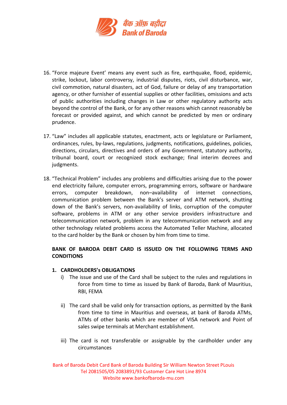

- 16. "Force majeure Event' means any event such as fire, earthquake, flood, epidemic, strike, lockout, labor controversy, industrial disputes, riots, civil disturbance, war, civil commotion, natural disasters, act of God, failure or delay of any transportation agency, or other furnisher of essential supplies or other facilities, omissions and acts of public authorities including changes in Law or other regulatory authority acts beyond the control of the Bank, or for any other reasons which cannot reasonably be forecast or provided against, and which cannot be predicted by men or ordinary prudence.
- 17. "Law" includes all applicable statutes, enactment, acts or legislature or Parliament, ordinances, rules, by-laws, regulations, judgments, notifications, guidelines, policies, directions, circulars, directives and orders of any Government, statutory authority, tribunal board, court or recognized stock exchange; final interim decrees and judgments.
- 18. "Technical Problem" includes any problems and difficulties arising due to the power end electricity failure, computer errors, programming errors, software or hardware errors, computer breakdown, non–availability of internet connections, communication problem between the Bank's server and ATM network, shutting down of the Bank's servers, non-availability of links, corruption of the computer software, problems in ATM or any other service providers infrastructure and telecommunication network, problem in any telecommunication network and any other technology related problems access the Automated Teller Machine, allocated to the card holder by the Bank or chosen by him from time to time.

# **BANK OF BARODA DEBIT CARD IS ISSUED ON THE FOLLOWING TERMS AND CONDITIONS**

## **1. CARDHOLDERS's OBLIGATIONS**

- i) The issue and use of the Card shall be subject to the rules and regulations in force from time to time as issued by Bank of Baroda, Bank of Mauritius, RBI, FEMA
- ii) The card shall be valid only for transaction options, as permitted by the Bank from time to time in Mauritius and overseas, at bank of Baroda ATMs, ATMs of other banks which are member of VISA network and Point of sales swipe terminals at Merchant establishment.
- iii) The card is not transferable or assignable by the cardholder under any circumstances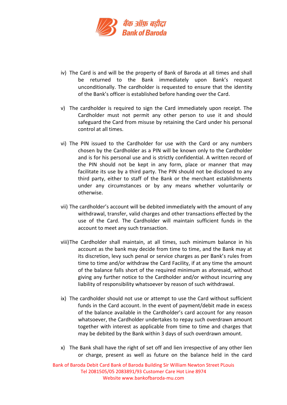

- iv) The Card is and will be the property of Bank of Baroda at all times and shall be returned to the Bank immediately upon Bank's request unconditionally. The cardholder is requested to ensure that the identity of the Bank's officer is established before handing over the Card.
- v) The cardholder is required to sign the Card immediately upon receipt. The Cardholder must not permit any other person to use it and should safeguard the Card from misuse by retaining the Card under his personal control at all times.
- vi) The PIN issued to the Cardholder for use with the Card or any numbers chosen by the Cardholder as a PIN will be known only to the Cardholder and is for his personal use and is strictly confidential. A written record of the PIN should not be kept in any form, place or manner that may facilitate its use by a third party. The PIN should not be disclosed to any third party, either to staff of the Bank or the merchant establishments under any circumstances or by any means whether voluntarily or otherwise.
- vii) The cardholder's account will be debited immediately with the amount of any withdrawal, transfer, valid charges and other transactions effected by the use of the Card. The Cardholder will maintain sufficient funds in the account to meet any such transaction.
- viii)The Cardholder shall maintain, at all times, such minimum balance in his account as the bank may decide from time to time, and the Bank may at its discretion, levy such penal or service charges as per Bank's rules from time to time and/or withdraw the Card Facility, if at any time the amount of the balance falls short of the required minimum as aforesaid, without giving any further notice to the Cardholder and/or without incurring any liability of responsibility whatsoever by reason of such withdrawal.
- ix) The cardholder should not use or attempt to use the Card without sufficient funds in the Card account. In the event of payment/debit made in excess of the balance available in the Cardholder's card account for any reason whatsoever, the Cardholder undertakes to repay such overdrawn amount together with interest as applicable from time to time and charges that may be debited by the Bank within 3 days of such overdrawn amount.
- x) The Bank shall have the right of set off and lien irrespective of any other lien or charge, present as well as future on the balance held in the card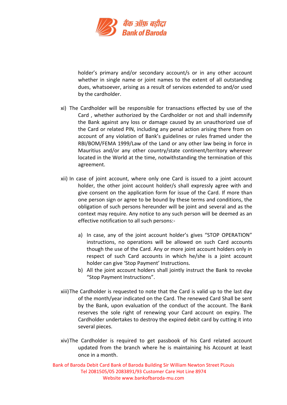

holder's primary and/or secondary account/s or in any other account whether in single name or joint names to the extent of all outstanding dues, whatsoever, arising as a result of services extended to and/or used by the cardholder.

- xi) The Cardholder will be responsible for transactions effected by use of the Card , whether authorized by the Cardholder or not and shall indemnify the Bank against any loss or damage caused by an unauthorized use of the Card or related PIN, including any penal action arising there from on account of any violation of Bank's guidelines or rules framed under the RBI/BOM/FEMA 1999/Law of the Land or any other law being in force in Mauritius and/or any other country/state continent/territory wherever located in the World at the time, notwithstanding the termination of this agreement.
- xii) In case of joint account, where only one Card is issued to a joint account holder, the other joint account holder/s shall expressly agree with and give consent on the application form for issue of the Card. If more than one person sign or agree to be bound by these terms and conditions, the obligation of such persons hereunder will be joint and several and as the context may require. Any notice to any such person will be deemed as an effective notification to all such persons:
	- a) In case, any of the joint account holder's gives "STOP OPERATION" instructions, no operations will be allowed on such Card accounts though the use of the Card. Any or more joint account holders only in respect of such Card accounts in which he/she is a joint account holder can give 'Stop Payment' Instructions.
	- b) All the joint account holders shall jointly instruct the Bank to revoke "Stop Payment Instructions".
- xiii)The Cardholder is requested to note that the Card is valid up to the last day of the month/year indicated on the Card. The renewed Card Shall be sent by the Bank, upon evaluation of the conduct of the account. The Bank reserves the sole right of renewing your Card account on expiry. The Cardholder undertakes to destroy the expired debit card by cutting it into several pieces.
- xiv)The Cardholder is required to get passbook of his Card related account updated from the branch where he is maintaining his Account at least once in a month.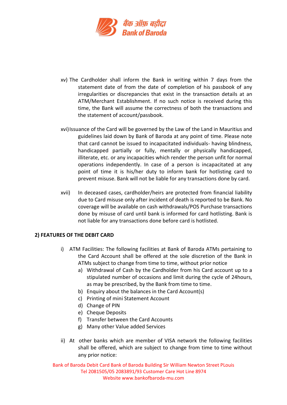

- xv) The Cardholder shall inform the Bank in writing within 7 days from the statement date of from the date of completion of his passbook of any irregularities or discrepancies that exist in the transaction details at an ATM/Merchant Establishment. If no such notice is received during this time, the Bank will assume the correctness of both the transactions and the statement of account/passbook.
- xvi)Issuance of the Card will be governed by the Law of the Land in Mauritius and guidelines laid down by Bank of Baroda at any point of time. Please note that card cannot be issued to incapacitated individuals- having blindness, handicapped partially or fully, mentally or physically handicapped, illiterate, etc. or any incapacities which render the person unfit for normal operations independently. In case of a person is incapacitated at any point of time it is his/her duty to inform bank for hotlisting card to prevent misuse. Bank will not be liable for any transactions done by card.
- xvii) In deceased cases, cardholder/heirs are protected from financial liability due to Card misuse only after incident of death is reported to be Bank. No coverage will be available on cash withdrawals/POS Purchase transactions done by misuse of card until bank is informed for card hotlisting. Bank is not liable for any transactions done before card is hotlisted.

## **2) FEATURES OF THE DEBIT CARD**

- i) ATM Facilities: The following facilities at Bank of Baroda ATMs pertaining to the Card Account shall be offered at the sole discretion of the Bank in ATMs subject to change from time to time, without prior notice
	- a) Withdrawal of Cash by the Cardholder from his Card account up to a stipulated number of occasions and limit during the cycle of 24hours, as may be prescribed, by the Bank from time to time.
	- b) Enquiry about the balances in the Card Account(s)
	- c) Printing of mini Statement Account
	- d) Change of PIN
	- e) Cheque Deposits
	- f) Transfer between the Card Accounts
	- g) Many other Value added Services
- ii) At other banks which are member of VISA network the following facilities shall be offered, which are subject to change from time to time without any prior notice: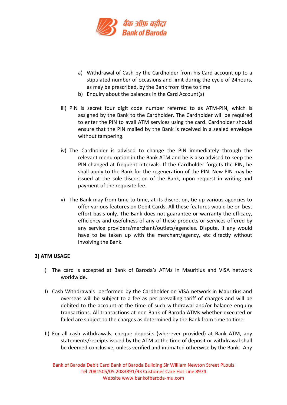

- a) Withdrawal of Cash by the Cardholder from his Card account up to a stipulated number of occasions and limit during the cycle of 24hours, as may be prescribed, by the Bank from time to time
- b) Enquiry about the balances in the Card Account(s)
- iii) PIN is secret four digit code number referred to as ATM-PIN, which is assigned by the Bank to the Cardholder. The Cardholder will be required to enter the PIN to avail ATM services using the card. Cardholder should ensure that the PIN mailed by the Bank is received in a sealed envelope without tampering.
- iv) The Cardholder is advised to change the PIN immediately through the relevant menu option in the Bank ATM and he is also advised to keep the PIN changed at frequent intervals. If the Cardholder forgets the PIN, he shall apply to the Bank for the regeneration of the PIN. New PIN may be issued at the sole discretion of the Bank, upon request in writing and payment of the requisite fee.
- v) The Bank may from time to time, at its discretion, tie up various agencies to offer various features on Debit Cards. All these features would be on best effort basis only. The Bank does not guarantee or warranty the efficacy, efficiency and usefulness of any of these products or services offered by any service providers/merchant/outlets/agencies. Dispute, if any would have to be taken up with the merchant/agency, etc directly without involving the Bank.

## **3) ATM USAGE**

- I) The card is accepted at Bank of Baroda's ATMs in Mauritius and VISA network worldwide.
- II) Cash Withdrawals performed by the Cardholder on VISA network in Mauritius and overseas will be subject to a fee as per prevailing tariff of charges and will be debited to the account at the time of such withdrawal and/or balance enquiry transactions. All transactions at non Bank of Baroda ATMs whether executed or failed are subject to the charges as determined by the Bank from time to time.
- III) For all cash withdrawals, cheque deposits (wherever provided) at Bank ATM, any statements/receipts issued by the ATM at the time of deposit or withdrawal shall be deemed conclusive, unless verified and intimated otherwise by the Bank. Any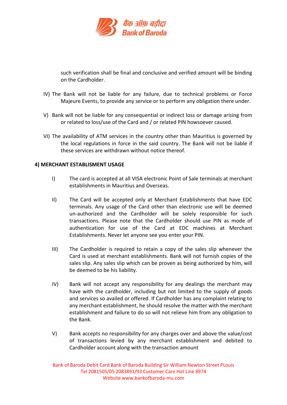

such verification shall be final and conclusive and verified amount will be binding on the Cardholder.

- IV) The Bank will not be liable for any failure, due to technical problems or Force Majeure Events, to provide any service or to perform any obligation there under.
- V) Bank will not be liable for any consequential or indirect loss or damage arising from or related to loss/use of the Card and / or related PIN howsoever caused.
- VI) The availability of ATM services in the country other than Mauritius is governed by the local regulations in force in the said country. The Bank will not be liable if these services are withdrawn without notice thereof.

## **4) MERCHANT ESTABLISMENT USAGE**

- I) The card is accepted at all VISA electronic Point of Sale terminals at merchant establishments in Mauritius and Overseas.
- II) The Card will be accepted only at Merchant Establishments that have EDC terminals. Any usage of the Card other than electronic use will be deemed un-authorized and the Cardholder will be solely responsible for such transactions. Please note that the Cardholder should use PIN as mode of authentication for use of the Card at EDC machines at Merchant Establishments. Never let anyone see you enter your PIN.
- III) The Cardholder is required to retain a copy of the sales slip whenever the Card is used at merchant establishments. Bank will not furnish copies of the sales slip. Any sales slip which can be proven as being authorized by him, will be deemed to be his liability.
- IV) Bank will not accept any responsibility for any dealings the merchant may have with the cardholder, including but not limited to the supply of goods and services so availed or offered. If Cardholder has any complaint relating to any merchant establishment, he should resolve the matter with the merchant establishment and failure to do so will not relieve him from any obligation to the Bank.
- V) Bank accepts no responsibility for any charges over and above the value/cost of transactions levied by any merchant establishment and debited to Cardholder account along with the transaction amount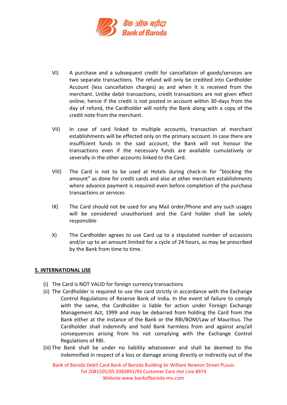

- VI) A purchase and a subsequent credit for cancellation of goods/services are two separate transactions. The refund will only be credited into Cardholder Account (less cancellation charges) as and when it is received from the merchant. Unlike debit transactions, credit transactions are not given effect online; hence if the credit is not posted in account within 30-days from the day of refund, the Cardholder will notify the Bank along with a copy of the credit note from the merchant.
- VII) In case of card linked to multiple accounts, transaction at merchant establishments will be effected only on the primary account. In case there are insufficient funds in the said account, the Bank will not honour the transactions even if the necessary funds are available cumulatively or severally in the other accounts linked to the Card.
- VIII) The Card is not to be used at Hotels during check-in for "blocking the amount" as done for credit cards and also at other merchant establishments where advance payment is required even before completion of the purchase transactions or services
- IX) The Card should not be used for any Mail order/Phone and any such usages will be considered unauthorized and the Card holder shall be solely responsible
- X) The Cardholder agrees to use Card up to a stipulated number of occasions and/or up to an amount limited for a cycle of 24 hours, as may be prescribed by the Bank from time to time.

## **5. INTERNATIONAL USE**

- (i) The Card is NOT VALID for foreign currency transactions
- (ii) The Cardholder is required to use the card strictly in accordance with the Exchange Control Regulations of Reserve Bank of India. In the event of failure to comply with the same, the Cardholder is liable for action under Foreign Exchange Management Act, 1999 and may be debarred from holding the Card from the Bank either at the instance of the Bank or the RBI/BOM/Law of Mauritius. The Cardholder shall indemnify and hold Bank harmless from and against any/all consequences arising from his not complying with the Exchange Control Regulations of RBI.
- (iii) The Bank shall be under no liability whatsoever and shall be deemed to the indemnified in respect of a loss or damage arising directly or indirectly out of the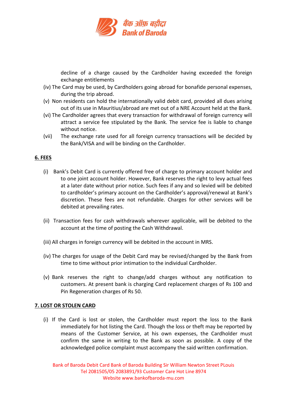

decline of a charge caused by the Cardholder having exceeded the foreign exchange entitlements

- (iv) The Card may be used, by Cardholders going abroad for bonafide personal expenses, during the trip abroad.
- (v) Non residents can hold the internationally valid debit card, provided all dues arising out of its use in Mauritius/abroad are met out of a NRE Account held at the Bank.
- (vi) The Cardholder agrees that every transaction for withdrawal of foreign currency will attract a service fee stipulated by the Bank. The service fee is liable to change without notice.
- (vii) The exchange rate used for all foreign currency transactions will be decided by the Bank/VISA and will be binding on the Cardholder.

## **6. FEES**

- (i) Bank's Debit Card is currently offered free of charge to primary account holder and to one joint account holder. However, Bank reserves the right to levy actual fees at a later date without prior notice. Such fees if any and so levied will be debited to cardholder's primary account on the Cardholder's approval/renewal at Bank's discretion. These fees are not refundable. Charges for other services will be debited at prevailing rates.
- (ii) Transaction fees for cash withdrawals wherever applicable, will be debited to the account at the time of posting the Cash Withdrawal.
- (iii) All charges in foreign currency will be debited in the account in MRS.
- (iv) The charges for usage of the Debit Card may be revised/changed by the Bank from time to time without prior intimation to the individual Cardholder.
- (v) Bank reserves the right to change/add charges without any notification to customers. At present bank is charging Card replacement charges of Rs 100 and Pin Regeneration charges of Rs 50.

# **7. LOST OR STOLEN CARD**

(i) If the Card is lost or stolen, the Cardholder must report the loss to the Bank immediately for hot listing the Card. Though the loss or theft may be reported by means of the Customer Service, at his own expenses, the Cardholder must confirm the same in writing to the Bank as soon as possible. A copy of the acknowledged police complaint must accompany the said written confirmation.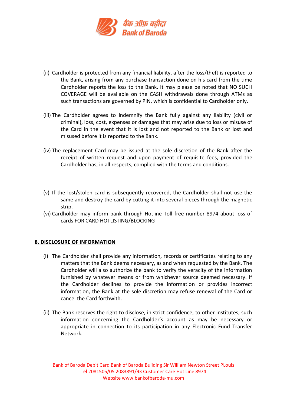

- (ii) Cardholder is protected from any financial liability, after the loss/theft is reported to the Bank, arising from any purchase transaction done on his card from the time Cardholder reports the loss to the Bank. It may please be noted that NO SUCH COVERAGE will be available on the CASH withdrawals done through ATMs as such transactions are governed by PIN, which is confidential to Cardholder only.
- (iii) The Cardholder agrees to indemnify the Bank fully against any liability (civil or criminal), loss, cost, expenses or damages that may arise due to loss or misuse of the Card in the event that it is lost and not reported to the Bank or lost and misused before it is reported to the Bank.
- (iv) The replacement Card may be issued at the sole discretion of the Bank after the receipt of written request and upon payment of requisite fees, provided the Cardholder has, in all respects, complied with the terms and conditions.
- (v) If the lost/stolen card is subsequently recovered, the Cardholder shall not use the same and destroy the card by cutting it into several pieces through the magnetic strip.
- (vi) Cardholder may inform bank through Hotline Toll free number 8974 about loss of cards FOR CARD HOTLISTING/BLOCKING

## **8. DISCLOSURE OF INFORMATION**

- (i) The Cardholder shall provide any information, records or certificates relating to any matters that the Bank deems necessary, as and when requested by the Bank. The Cardholder will also authorize the bank to verify the veracity of the information furnished by whatever means or from whichever source deemed necessary. If the Cardholder declines to provide the information or provides incorrect information, the Bank at the sole discretion may refuse renewal of the Card or cancel the Card forthwith.
- (ii) The Bank reserves the right to disclose, in strict confidence, to other institutes, such information concerning the Cardholder's account as may be necessary or appropriate in connection to its participation in any Electronic Fund Transfer Network.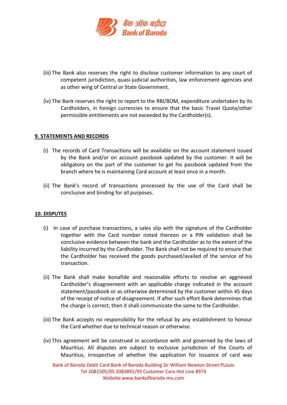

- (iii) The Bank also reserves the right to disclose customer information to any court of competent jurisdiction, quasi-judicial authorities, law enforcement agencies and as other wing of Central or State Government.
- (iv) The Bank reserves the right to report to the RBI/BOM, expenditure undertaken by its Cardholders, in foreign currencies to ensure that the basic Travel Quota/other permissible entitlements are not exceeded by the Cardholder(s).

## **9. STATEMENTS AND RECORDS**

- (i) The records of Card Transactions will be available on the account statement issued by the Bank and/or on account passbook updated by the customer. It will be obligatory on the part of the customer to get his passbook updated from the branch where he is maintaining Card account at least once in a month.
- (ii) The Bank's record of transactions processed by the use of the Card shall be conclusive and binding for all purposes.

## **10. DISPUTES**

- (i) In case of purchase transactions, a sales slip with the signature of the Cardholder together with the Card number noted thereon or a PIN validation shall be conclusive evidence between the bank and the Cardholder as to the extent of the liability incurred by the Cardholder. The Bank shall not be required to ensure that the Cardholder has received the goods purchased/availed of the service of his transaction.
- (ii) The Bank shall make bonafide and reasonable efforts to resolve an aggrieved Cardholder's disagreement with an applicable charge indicated in the account statement/passbook or as otherwise determined by the customer within 45 days of the receipt of notice of disagreement. If after such effort Bank determines that the charge is correct, then it shall communicate the same to the Cardholder.
- (iii) The Bank accepts no responsibility for the refusal by any establishment to honour the Card whether due to technical reason or otherwise.
- (iv) This agreement will be construed in accordance with and governed by the laws of Mauritius. All disputes are subject to exclusive jurisdiction of the Courts of Mauritius, irrespective of whether the application for issuance of card was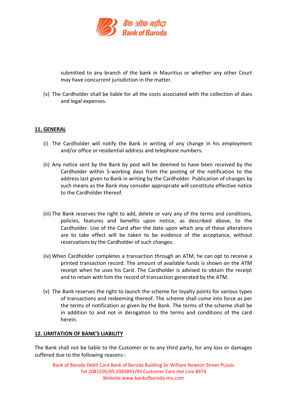

submitted to any branch of the bank in Mauritius or whether any other Court may have concurrent jurisdiction in the matter.

(v) The Cardholder shall be liable for all the costs associated with the collection of dues and legal expenses.

## **11. GENERAL**

- (i) The Cardholder will notify the Bank in writing of any change in his employment and/or office or residential address and telephone numbers.
- (ii) Any notice sent by the Bank by post will be deemed to have been received by the Cardholder within 5-working days from the posting of the notification to the address last given to Bank in writing by the Cardholder. Publication of changes by such means as the Bank may consider appropriate will constitute effective notice to the Cardholder thereof.
- (iii) The Bank reserves the right to add, delete or vary any of the terms and conditions, policies, features and benefits upon notice, as described above, to the Cardholder. Use of the Card after the date upon which any of these alterations are to take effect will be taken to be evidence of the acceptance, without reservations by the Cardholder of such changes.
- (iv) When Cardholder completes a transaction through an ATM, he can opt to receive a printed transaction record. The amount of available funds is shown on the ATM receipt when he uses his Card. The Cardholder is advised to obtain the receipt and to retain with him the record of transaction generated by the ATM.
- (v) The Bank reserves the right to launch the scheme for loyalty points for various types of transactions and redeeming thereof. The scheme shall come into force as per the terms of notification as given by the Bank. The terms of the scheme shall be in addition to and not in derogation to the terms and conditions of the card herein.

## **12. LIMITATION OF BANK'S LIABILITY**

The Bank shall not be liable to the Customer or to any third party, for any loss or damages suffered due to the following reasons:-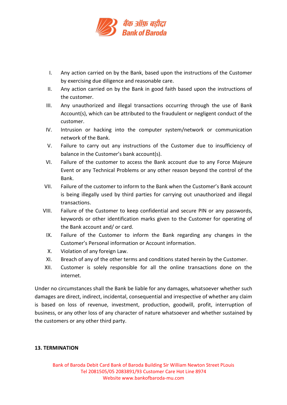

- I. Any action carried on by the Bank, based upon the instructions of the Customer by exercising due diligence and reasonable care.
- II. Any action carried on by the Bank in good faith based upon the instructions of the customer.
- III. Any unauthorized and illegal transactions occurring through the use of Bank Account(s), which can be attributed to the fraudulent or negligent conduct of the customer.
- IV. Intrusion or hacking into the computer system/network or communication network of the Bank.
- V. Failure to carry out any instructions of the Customer due to insufficiency of balance in the Customer's bank account(s).
- VI. Failure of the customer to access the Bank account due to any Force Majeure Event or any Technical Problems or any other reason beyond the control of the Bank.
- VII. Failure of the customer to inform to the Bank when the Customer's Bank account is being illegally used by third parties for carrying out unauthorized and illegal transactions.
- VIII. Failure of the Customer to keep confidential and secure PIN or any passwords, keywords or other identification marks given to the Customer for operating of the Bank account and/ or card.
	- IX. Failure of the Customer to inform the Bank regarding any changes in the Customer's Personal information or Account information.
	- X. Violation of any foreign Law.
	- XI. Breach of any of the other terms and conditions stated herein by the Customer.
- XII. Customer is solely responsible for all the online transactions done on the internet.

Under no circumstances shall the Bank be liable for any damages, whatsoever whether such damages are direct, indirect, incidental, consequential and irrespective of whether any claim is based on loss of revenue, investment, production, goodwill, profit, interruption of business, or any other loss of any character of nature whatsoever and whether sustained by the customers or any other third party.

# **13. TERMINATION**